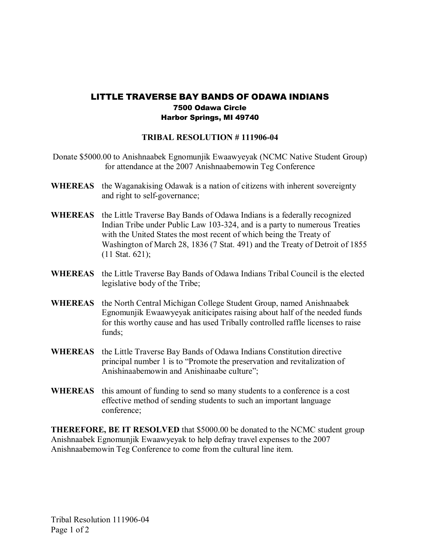## LITTLE TRAVERSE BAY BANDS OF ODAWA INDIANS 7500 Odawa Circle Harbor Springs, MI 49740

## **TRIBAL RESOLUTION #111906-04**

- Donate \$5000.00 to Anishnaabek Egnomunjik Ewaawyeyak (NCMC Native Student Group) for attendance at the 2007 Anishnaabemowin Teg Conference
- **WHEREAS** the Waganakising Odawak is a nation of citizens with inherent sovereignty and right to self-governance;
- **WHEREAS** the Little Traverse Bay Bands of Odawa Indians is a federally recognized Indian Tribe under Public Law 103-324, and is a party to numerous Treaties with the United States the most recent of which being the Treaty of Washington of March 28, 1836 (7 Stat. 491) and the Treaty of Detroit of 1855 (11 Stat. 621);
- **WHEREAS** the Little Traverse Bay Bands of Odawa Indians Tribal Council is the elected legislative body of the Tribe;
- **WHEREAS** the North Central Michigan College Student Group, named Anishnaabek Egnomunjik Ewaawyeyak aniticipates raising about half of the needed funds for this worthy cause and has used Tribally controlled raffle licenses to raise funds;
- **WHEREAS** the Little Traverse Bay Bands of Odawa Indians Constitution directive principal number 1 is to "Promote the preservation and revitalization of Anishinaabemowin and Anishinaabe culture";
- **WHEREAS** this amount of funding to send so many students to a conference is a cost effective method of sending students to such an important language conference;

**THEREFORE, BE IT RESOLVED** that \$5000.00 be donated to the NCMC student group Anishnaabek Egnomunjik Ewaawyeyak to help defray travel expenses to the 2007 Anishnaabemowin Teg Conference to come from the cultural line item.